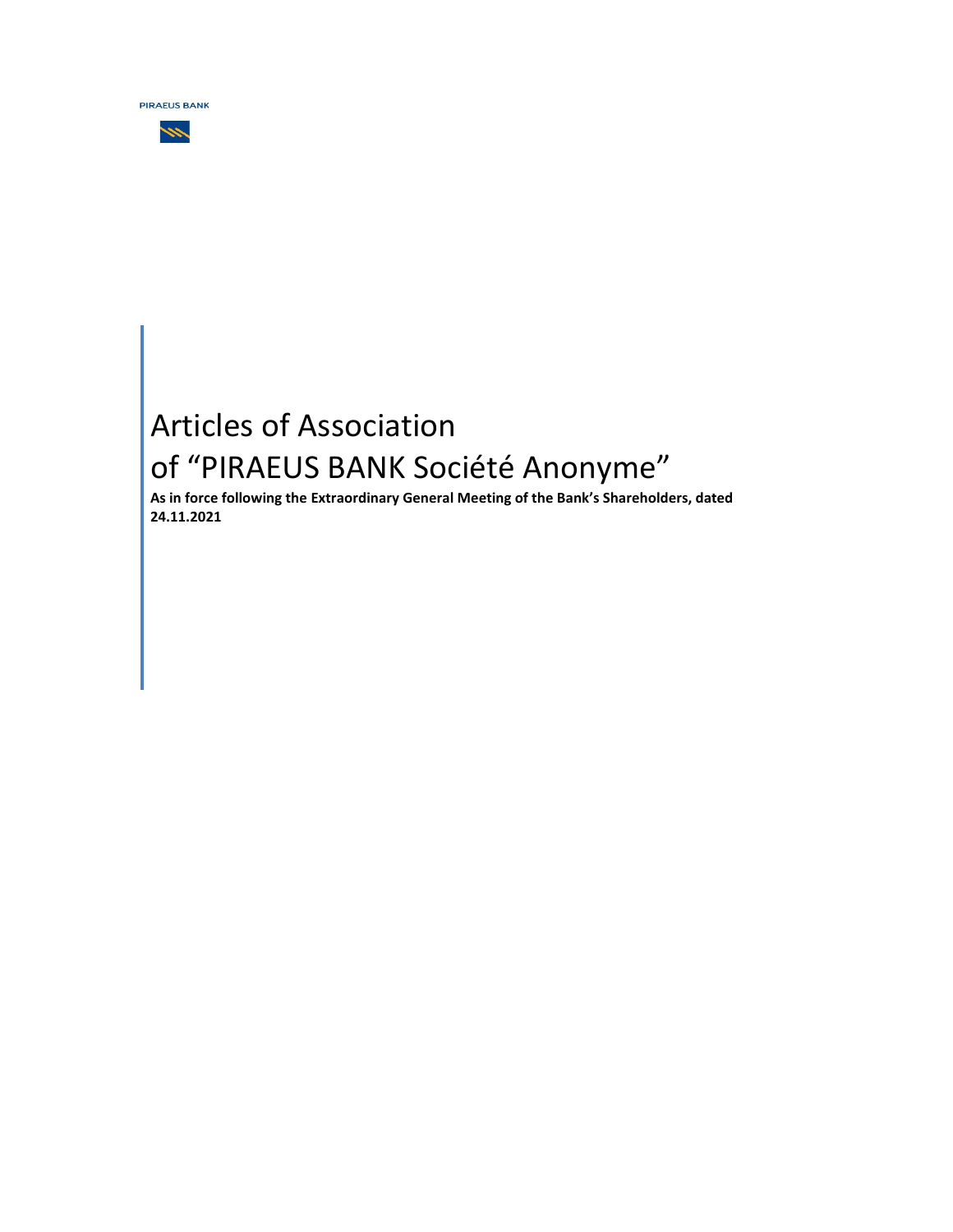

# W

# Articles of Association of "PIRAEUS BANK Société Anonyme"

**As in force following the Extraordinary General Meeting of the Bank's Shareholders, dated 24.11.2021**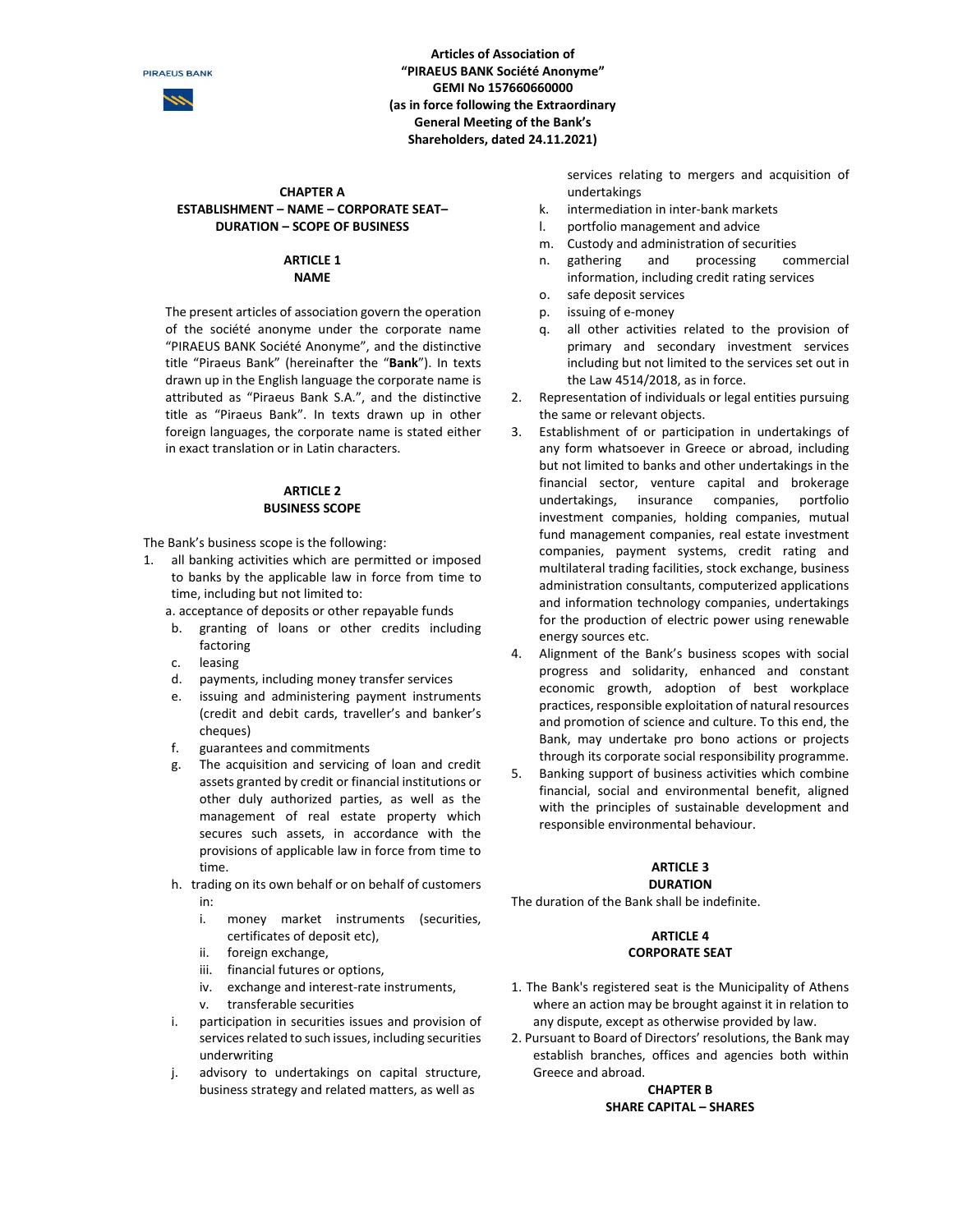

**Articles of Association of "PIRAEUS BANK Société Anonyme" GEMI No 157660660000 (as in force following the Extraordinary General Meeting of the Bank's Shareholders, dated 24.11.2021)**

#### **CHAPTER A ESTABLISHMENT – NAME – CORPORATE SEAT– DURATION – SCOPE OF BUSINESS**

### **ARTICLE 1 NAME**

The present articles of association govern the operation of the société anonyme under the corporate name "PIRAEUS BANK Société Anonyme", and the distinctive title "Piraeus Bank" (hereinafter the "**Bank**"). In texts drawn up in the English language the corporate name is attributed as "Piraeus Bank S.A.", and the distinctive title as "Piraeus Bank". In texts drawn up in other foreign languages, the corporate name is stated either in exact translation or in Latin characters.

# **ARTICLE 2 BUSINESS SCOPE**

The Bank's business scope is the following:

- 1. all banking activities which are permitted or imposed to banks by the applicable law in force from time to time, including but not limited to:
	- a. acceptance of deposits or other repayable funds
	- b. granting of loans or other credits including factoring
	- c. leasing
	- d. payments, including money transfer services
	- e. issuing and administering payment instruments (credit and debit cards, traveller's and banker's cheques)
	- f. guarantees and commitments
	- g. The acquisition and servicing of loan and credit assets granted by credit or financial institutions or other duly authorized parties, as well as the management of real estate property which secures such assets, in accordance with the provisions of applicable law in force from time to time.
	- h. trading on its own behalf or on behalf of customers in:
		- i. money market instruments (securities, certificates of deposit etc),
		- ii. foreign exchange,
		- iii. financial futures or options,
		- iv. exchange and interest-rate instruments, v. transferable securities
	- i. participation in securities issues and provision of services related to such issues, including securities underwriting
	- j. advisory to undertakings on capital structure, business strategy and related matters, as well as

services relating to mergers and acquisition of undertakings

- k. intermediation in inter-bank markets
- l. portfolio management and advice
- m. Custody and administration of securities
- n. gathering and processing commercial information, including credit rating services
- o. safe deposit services
- p. issuing of e-money
- q. all other activities related to the provision of primary and secondary investment services including but not limited to the services set out in the Law 4514/2018, as in force.
- 2. Representation of individuals or legal entities pursuing the same or relevant objects.
- 3. Establishment of or participation in undertakings of any form whatsoever in Greece or abroad, including but not limited to banks and other undertakings in the financial sector, venture capital and brokerage undertakings, insurance companies, portfolio investment companies, holding companies, mutual fund management companies, real estate investment companies, payment systems, credit rating and multilateral trading facilities, stock exchange, business administration consultants, computerized applications and information technology companies, undertakings for the production of electric power using renewable energy sources etc.
- 4. Alignment of the Bank's business scopes with social progress and solidarity, enhanced and constant economic growth, adoption of best workplace practices, responsible exploitation of natural resources and promotion of science and culture. To this end, the Bank, may undertake pro bono actions or projects through its corporate social responsibility programme.
- 5. Banking support of business activities which combine financial, social and environmental benefit, aligned with the principles of sustainable development and responsible environmental behaviour.

# **ARTICLE 3**

#### **DURATION**

The duration of the Bank shall be indefinite.

#### **ARTICLE 4 CORPORATE SEAT**

- 1. The Bank's registered seat is the Municipality of Athens where an action may be brought against it in relation to any dispute, except as otherwise provided by law.
- 2. Pursuant to Board of Directors' resolutions, the Bank may establish branches, offices and agencies both within Greece and abroad.

#### **CHAPTER B SHARE CAPITAL – SHARES**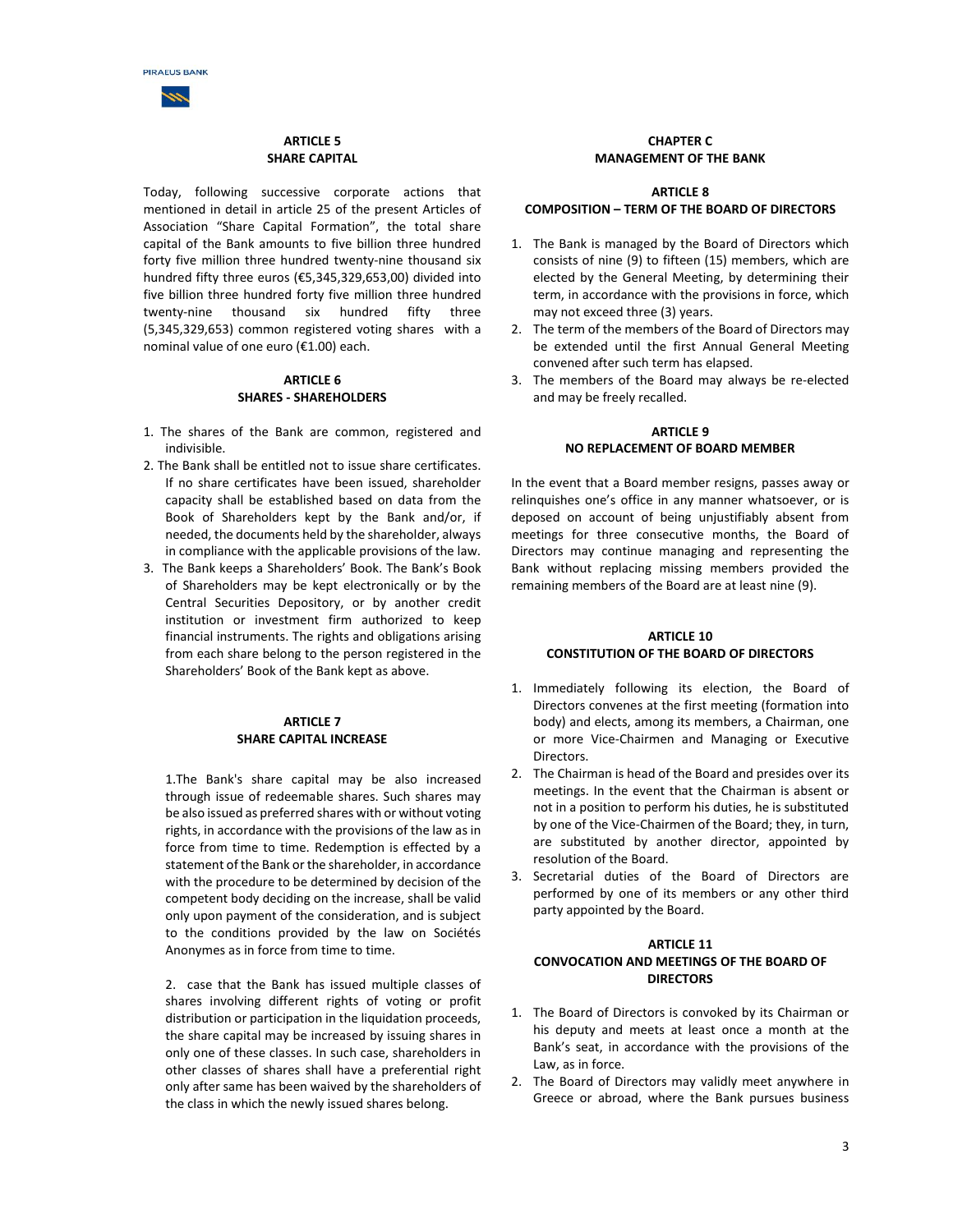

# **ARTICLE 5 SHARE CAPITAL**

Today, following successive corporate actions that mentioned in detail in article 25 of the present Articles of Association "Share Capital Formation", the total share capital of the Bank amounts to five billion three hundred forty five million three hundred twenty-nine thousand six hundred fifty three euros (€5,345,329,653,00) divided into five billion three hundred forty five million three hundred twenty-nine thousand six hundred fifty three (5,345,329,653) common registered voting shares with a nominal value of one euro (€1.00) each.

#### **ARTICLE 6 SHARES - SHAREHOLDERS**

- 1. The shares of the Bank are common, registered and indivisible.
- 2. The Bank shall be entitled not to issue share certificates. If no share certificates have been issued, shareholder capacity shall be established based on data from the Book of Shareholders kept by the Bank and/or, if needed, the documents held by the shareholder, always in compliance with the applicable provisions of the law.
- 3. The Bank keeps a Shareholders' Book. The Bank's Book of Shareholders may be kept electronically or by the Central Securities Depository, or by another credit institution or investment firm authorized to keep financial instruments. The rights and obligations arising from each share belong to the person registered in the Shareholders' Book of the Bank kept as above.

#### **ARTICLE 7 SHARE CAPITAL INCREASE**

1.The Bank's share capital may be also increased through issue of redeemable shares. Such shares may be also issued as preferred shares with or without voting rights, in accordance with the provisions of the law as in force from time to time. Redemption is effected by a statement of the Bank or the shareholder, in accordance with the procedure to be determined by decision of the competent body deciding on the increase, shall be valid only upon payment of the consideration, and is subject to the conditions provided by the law on Sociétés Anonymes as in force from time to time.

2. case that the Bank has issued multiple classes of shares involving different rights of voting or profit distribution or participation in the liquidation proceeds, the share capital may be increased by issuing shares in only one of these classes. In such case, shareholders in other classes of shares shall have a preferential right only after same has been waived by the shareholders of the class in which the newly issued shares belong.

# **CHAPTER C MANAGEMENT OF THE BANK**

#### **ARTICLE 8 COMPOSITION – TERM OF THE BOARD OF DIRECTORS**

- 1. The Bank is managed by the Board of Directors which consists of nine (9) to fifteen (15) members, which are elected by the General Meeting, by determining their term, in accordance with the provisions in force, which may not exceed three (3) years.
- 2. The term of the members of the Board of Directors may be extended until the first Annual General Meeting convened after such term has elapsed.
- 3. The members of the Board may always be re-elected and may be freely recalled.

# **ARTICLE 9 NO REPLACEMENT OF BOARD MEMBER**

In the event that a Board member resigns, passes away or relinquishes one's office in any manner whatsoever, or is deposed on account of being unjustifiably absent from meetings for three consecutive months, the Board of Directors may continue managing and representing the Bank without replacing missing members provided the remaining members of the Board are at least nine (9).

#### **ARTICLE 10 CONSTITUTION OF THE BOARD OF DIRECTORS**

- 1. Immediately following its election, the Board of Directors convenes at the first meeting (formation into body) and elects, among its members, a Chairman, one or more Vice-Chairmen and Managing or Executive **Directors**
- 2. The Chairman is head of the Board and presides over its meetings. In the event that the Chairman is absent or not in a position to perform his duties, he is substituted by one of the Vice-Chairmen of the Board; they, in turn, are substituted by another director, appointed by resolution of the Board.
- 3. Secretarial duties of the Board of Directors are performed by one of its members or any other third party appointed by the Board.

# **ARTICLE 11 CONVOCATION AND MEETINGS OF THE BOARD OF DIRECTORS**

- 1. The Board of Directors is convoked by its Chairman or his deputy and meets at least once a month at the Bank's seat, in accordance with the provisions of the Law, as in force.
- 2. The Board of Directors may validly meet anywhere in Greece or abroad, where the Bank pursues business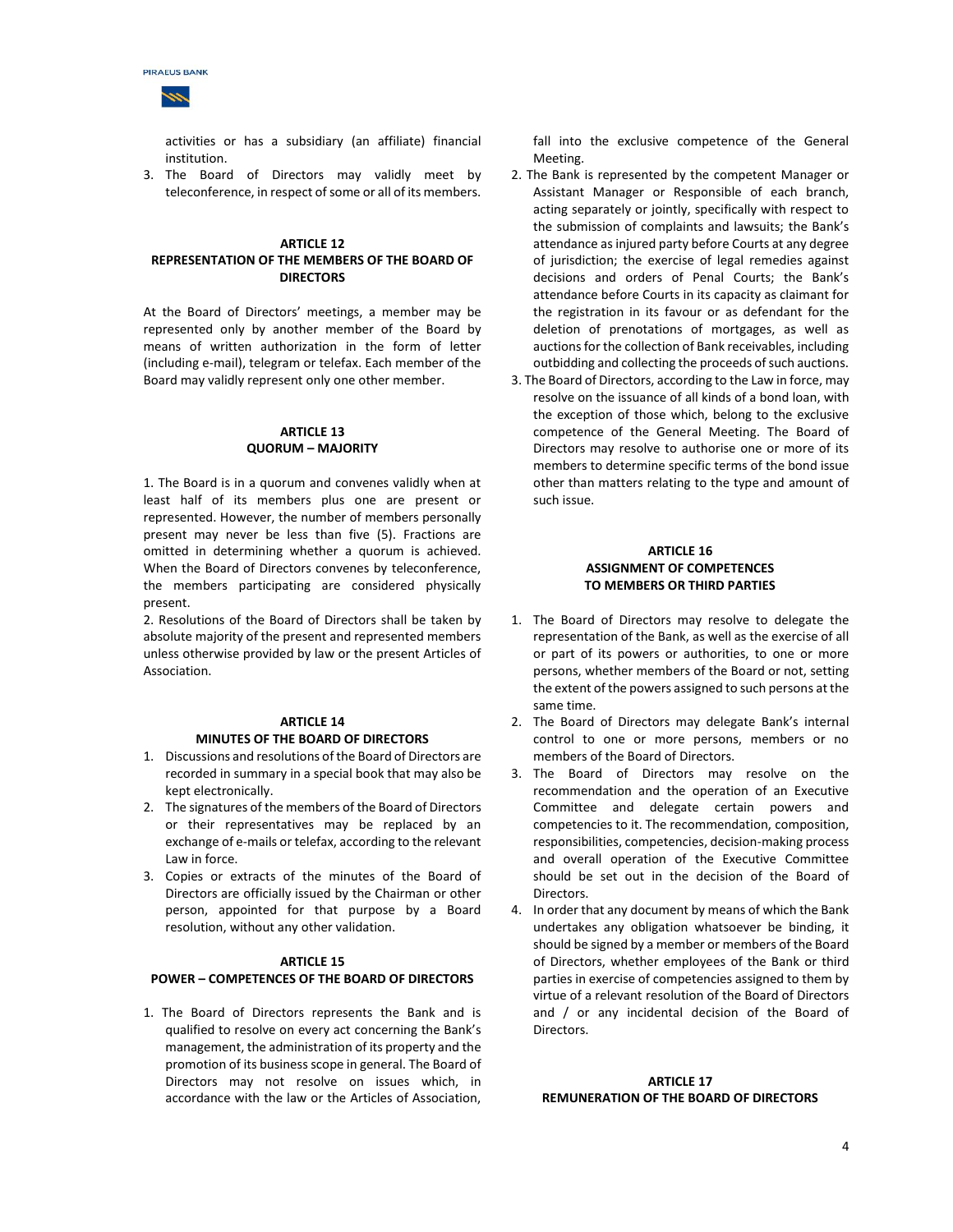

activities or has a subsidiary (an affiliate) financial institution.

3. The Board of Directors may validly meet by teleconference, in respect of some or all of its members.

#### **ARTICLE 12 REPRESENTATION OF THE MEMBERS OF THE BOARD OF DIRECTORS**

At the Board of Directors' meetings, a member may be represented only by another member of the Board by means of written authorization in the form of letter (including e-mail), telegram or telefax. Each member of the Board may validly represent only one other member.

### **ARTICLE 13 QUORUM – MAJORITY**

1. The Board is in a quorum and convenes validly when at least half of its members plus one are present or represented. However, the number of members personally present may never be less than five (5). Fractions are omitted in determining whether a quorum is achieved. When the Board of Directors convenes by teleconference, the members participating are considered physically present.

2. Resolutions of the Board of Directors shall be taken by absolute majority of the present and represented members unless otherwise provided by law or the present Articles of Association.

#### **ARTICLE 14 MINUTES OF THE BOARD OF DIRECTORS**

- 1. Discussions and resolutions of the Board of Directors are recorded in summary in a special book that may also be kept electronically.
- 2. The signatures of the members of the Board of Directors or their representatives may be replaced by an exchange of e-mails or telefax, according to the relevant Law in force.
- 3. Copies or extracts of the minutes of the Board of Directors are officially issued by the Chairman or other person, appointed for that purpose by a Board resolution, without any other validation.

#### **ARTICLE 15**

#### **POWER – COMPETENCES OF THE BOARD OF DIRECTORS**

1. The Board of Directors represents the Bank and is qualified to resolve on every act concerning the Bank's management, the administration of its property and the promotion of its business scope in general. The Board of Directors may not resolve on issues which, in accordance with the law or the Articles of Association,

fall into the exclusive competence of the General Meeting.

- 2. The Bank is represented by the competent Manager or Assistant Manager or Responsible of each branch, acting separately or jointly, specifically with respect to the submission of complaints and lawsuits; the Bank's attendance as injured party before Courts at any degree of jurisdiction; the exercise of legal remedies against decisions and orders of Penal Courts; the Bank's attendance before Courts in its capacity as claimant for the registration in its favour or as defendant for the deletion of prenotations of mortgages, as well as auctions for the collection of Bank receivables, including outbidding and collecting the proceeds of such auctions.
- 3. The Board of Directors, according to the Law in force, may resolve on the issuance of all kinds of a bond loan, with the exception of those which, belong to the exclusive competence of the General Meeting. The Board of Directors may resolve to authorise one or more of its members to determine specific terms of the bond issue other than matters relating to the type and amount of such issue.

#### **ARTICLE 16 ASSIGNMENT OF COMPETENCES TO MEMBERS OR THIRD PARTIES**

- 1. The Board of Directors may resolve to delegate the representation of the Bank, as well as the exercise of all or part of its powers or authorities, to one or more persons, whether members of the Board or not, setting the extent of the powers assigned to such persons at the same time.
- 2. The Board of Directors may delegate Bank's internal control to one or more persons, members or no members of the Board of Directors.
- 3. The Board of Directors may resolve on the recommendation and the operation of an Executive Committee and delegate certain powers and competencies to it. The recommendation, composition, responsibilities, competencies, decision-making process and overall operation of the Executive Committee should be set out in the decision of the Board of Directors.
- 4. In order that any document by means of which the Bank undertakes any obligation whatsoever be binding, it should be signed by a member or members of the Board of Directors, whether employees of the Bank or third parties in exercise of competencies assigned to them by virtue of a relevant resolution of the Board of Directors and / or any incidental decision of the Board of Directors.

#### **ARTICLE 17 REMUNERATION OF THE BOARD OF DIRECTORS**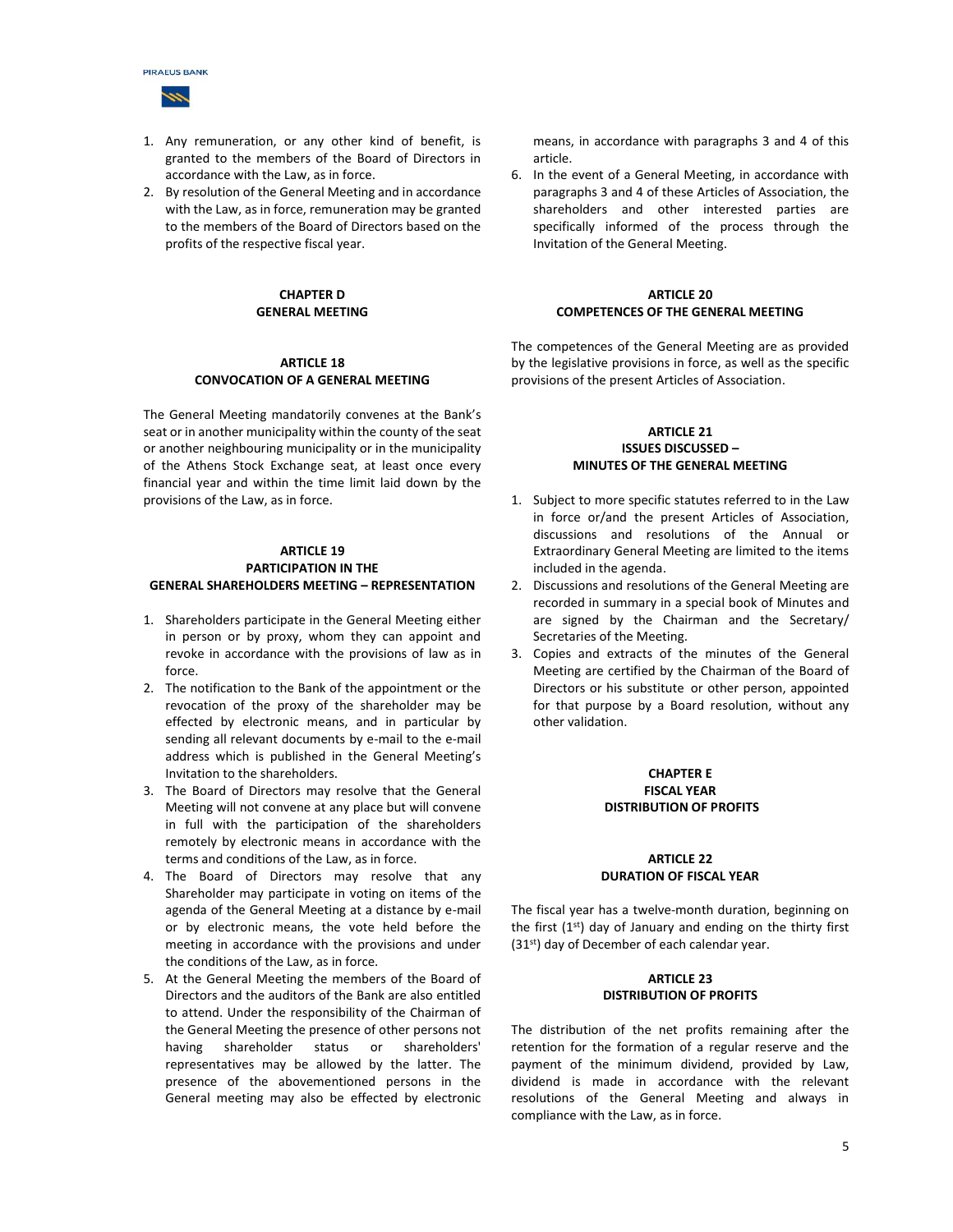



- 1. Any remuneration, or any other kind of benefit, is granted to the members of the Board of Directors in accordance with the Law, as in force.
- 2. By resolution of the General Meeting and in accordance with the Law, as in force, remuneration may be granted to the members of the Board of Directors based on the profits of the respective fiscal year.

# **CHAPTER D GENERAL MEETING**

### **ARTICLE 18 CONVOCATION OF A GENERAL MEETING**

The General Meeting mandatorily convenes at the Bank's seat or in another municipality within the county of the seat or another neighbouring municipality or in the municipality of the Athens Stock Exchange seat, at least once every financial year and within the time limit laid down by the provisions of the Law, as in force.

#### **ARTICLE 19 PARTICIPATION IN THE GENERAL SHAREHOLDERS MEETING – REPRESENTATION**

- 1. Shareholders participate in the General Meeting either in person or by proxy, whom they can appoint and revoke in accordance with the provisions of law as in force.
- 2. The notification to the Bank of the appointment or the revocation of the proxy of the shareholder may be effected by electronic means, and in particular by sending all relevant documents by e-mail to the e-mail address which is published in the General Meeting's Invitation to the shareholders.
- 3. The Board of Directors may resolve that the General Meeting will not convene at any place but will convene in full with the participation of the shareholders remotely by electronic means in accordance with the terms and conditions of the Law, as in force.
- 4. The Board of Directors may resolve that any Shareholder may participate in voting on items of the agenda of the General Meeting at a distance by e-mail or by electronic means, the vote held before the meeting in accordance with the provisions and under the conditions of the Law, as in force.
- 5. At the General Meeting the members of the Board of Directors and the auditors of the Bank are also entitled to attend. Under the responsibility of the Chairman of the General Meeting the presence of other persons not having shareholder status or shareholders' representatives may be allowed by the latter. The presence of the abovementioned persons in the General meeting may also be effected by electronic

means, in accordance with paragraphs 3 and 4 of this article.

6. In the event of a General Meeting, in accordance with paragraphs 3 and 4 of these Articles of Association, the shareholders and other interested parties are specifically informed of the process through the Invitation of the General Meeting.

#### **ARTICLE 20 COMPETENCES OF THE GENERAL MEETING**

The competences of the General Meeting are as provided by the legislative provisions in force, as well as the specific provisions of the present Articles of Association.

#### **ARTICLE 21 ISSUES DISCUSSED – MINUTES OF THE GENERAL MEETING**

- 1. Subject to more specific statutes referred to in the Law in force or/and the present Articles of Association, discussions and resolutions of the Annual or Extraordinary General Meeting are limited to the items included in the agenda.
- 2. Discussions and resolutions of the General Meeting are recorded in summary in a special book of Minutes and are signed by the Chairman and the Secretary/ Secretaries of the Meeting.
- 3. Copies and extracts of the minutes of the General Meeting are certified by the Chairman of the Board of Directors or his substitute or other person, appointed for that purpose by a Board resolution, without any other validation.

#### **CHAPTER E FISCAL YEAR DISTRIBUTION OF PROFITS**

#### **ARTICLE 22 DURATION OF FISCAL YEAR**

The fiscal year has a twelve-month duration, beginning on the first  $(1<sup>st</sup>)$  day of January and ending on the thirty first (31<sup>st</sup>) day of December of each calendar year.

## **ARTICLE 23 DISTRIBUTION OF PROFITS**

The distribution of the net profits remaining after the retention for the formation of a regular reserve and the payment of the minimum dividend, provided by Law, dividend is made in accordance with the relevant resolutions of the General Meeting and always in compliance with the Law, as in force.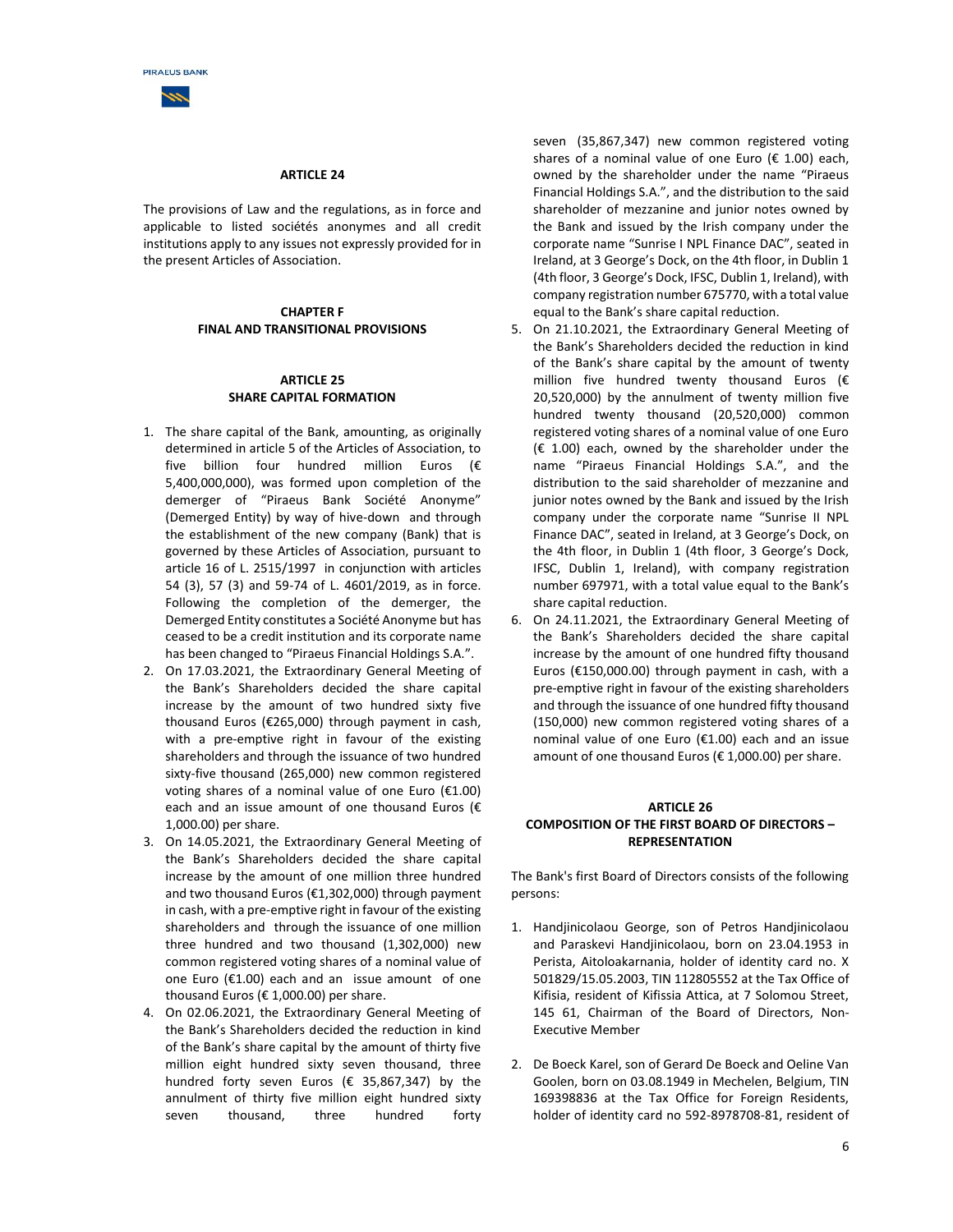

#### **ARTICLE 24**

The provisions of Law and the regulations, as in force and applicable to listed sociétés anonymes and all credit institutions apply to any issues not expressly provided for in the present Articles of Association.

#### **CHAPTER F FINAL AND TRANSITIONAL PROVISIONS**

#### **ARTICLE 25 SHARE CAPITAL FORMATION**

- 1. The share capital of the Bank, amounting, as originally determined in article 5 of the Articles of Association, to five billion four hundred million Euros ( $\epsilon$ 5,400,000,000), was formed upon completion of the demerger of "Piraeus Bank Société Anonyme" (Demerged Entity) by way of hive-down and through the establishment of the new company (Bank) that is governed by these Articles of Association, pursuant to article 16 of L. 2515/1997 in conjunction with articles 54 (3), 57 (3) and 59-74 of L. 4601/2019, as in force. Following the completion of the demerger, the Demerged Entity constitutes a Société Anonyme but has ceased to be a credit institution and its corporate name has been changed to "Piraeus Financial Holdings S.A.".
- 2. On 17.03.2021, the Extraordinary General Meeting of the Bank's Shareholders decided the share capital increase by the amount of two hundred sixty five thousand Euros (€265,000) through payment in cash, with a pre-emptive right in favour of the existing shareholders and through the issuance of two hundred sixty-five thousand (265,000) new common registered voting shares of a nominal value of one Euro  $(E1.00)$ each and an issue amount of one thousand Euros ( $\epsilon$ 1,000.00) per share.
- 3. On 14.05.2021, the Extraordinary General Meeting of the Bank's Shareholders decided the share capital increase by the amount of one million three hundred and two thousand Euros (€1,302,000) through payment in cash, with a pre-emptive right in favour of the existing shareholders and through the issuance of one million three hundred and two thousand (1,302,000) new common registered voting shares of a nominal value of one Euro (€1.00) each and an issue amount of one thousand Euros ( $\epsilon$  1,000.00) per share.
- 4. On 02.06.2021, the Extraordinary General Meeting of the Bank's Shareholders decided the reduction in kind of the Bank's share capital by the amount of thirty five million eight hundred sixty seven thousand, three hundred forty seven Euros (€ 35,867,347) by the annulment of thirty five million eight hundred sixty seven thousand, three hundred forty

seven (35,867,347) new common registered voting shares of a nominal value of one Euro ( $\epsilon$  1.00) each, owned by the shareholder under the name "Piraeus Financial Holdings S.A.", and the distribution to the said shareholder of mezzanine and junior notes owned by the Bank and issued by the Irish company under the corporate name "Sunrise I NPL Finance DAC", seated in Ireland, at 3 George's Dock, on the 4th floor, in Dublin 1 (4th floor, 3 George's Dock, IFSC, Dublin 1, Ireland), with company registration number 675770, with a total value equal to the Bank's share capital reduction.

- 5. On 21.10.2021, the Extraordinary General Meeting of the Bank's Shareholders decided the reduction in kind of the Bank's share capital by the amount of twenty million five hundred twenty thousand Euros ( $\epsilon$ 20,520,000) by the annulment of twenty million five hundred twenty thousand (20,520,000) common registered voting shares of a nominal value of one Euro  $(E 1.00)$  each, owned by the shareholder under the name "Piraeus Financial Holdings S.A.", and the distribution to the said shareholder of mezzanine and junior notes owned by the Bank and issued by the Irish company under the corporate name "Sunrise II NPL Finance DAC", seated in Ireland, at 3 George's Dock, on the 4th floor, in Dublin 1 (4th floor, 3 George's Dock, IFSC, Dublin 1, Ireland), with company registration number 697971, with a total value equal to the Bank's share capital reduction.
- 6. On 24.11.2021, the Extraordinary General Meeting of the Bank's Shareholders decided the share capital increase by the amount of one hundred fifty thousand Euros (€150,000.00) through payment in cash, with a pre-emptive right in favour of the existing shareholders and through the issuance of one hundred fifty thousand (150,000) new common registered voting shares of a nominal value of one Euro (€1.00) each and an issue amount of one thousand Euros ( $\epsilon$  1,000.00) per share.

#### **ARTICLE 26 COMPOSITION OF THE FIRST BOARD OF DIRECTORS – REPRESENTATION**

The Bank's first Board of Directors consists of the following persons:

- 1. Handjinicolaou George, son of Petros Handjinicolaou and Paraskevi Handjinicolaou, born on 23.04.1953 in Perista, Aitoloakarnania, holder of identity card no. Χ 501829/15.05.2003, TIN 112805552 at the Tax Office of Kifisia, resident of Kifissia Attica, at 7 Solomou Street, 145 61, Chairman of the Board of Directors, Non-Executive Member
- 2. De Boeck Karel, son of Gerard De Boeck and Oeline Van Goolen, born on 03.08.1949 in Mechelen, Belgium, TIN 169398836 at the Tax Office for Foreign Residents, holder of identity card no 592-8978708-81, resident of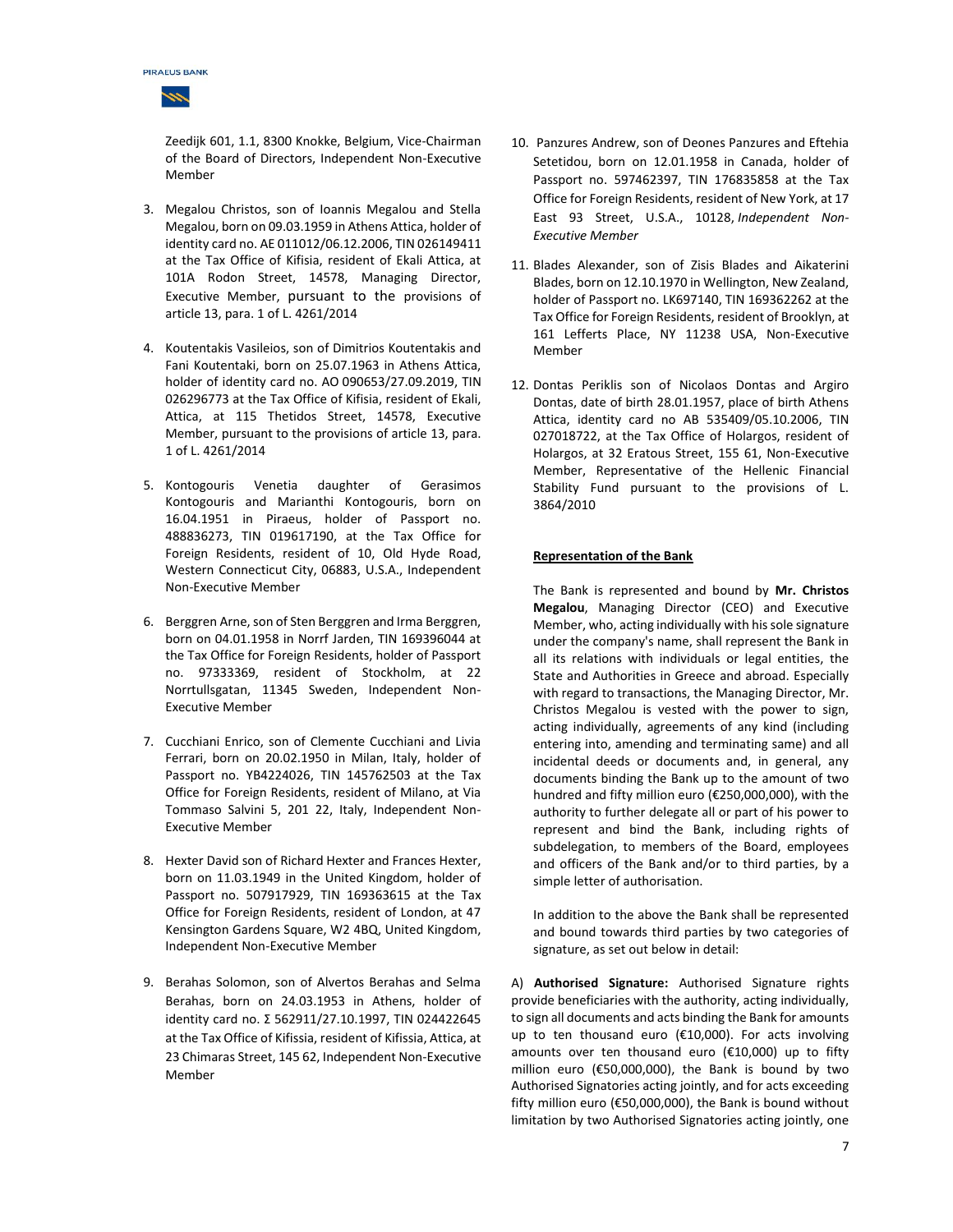

Zeedijk 601, 1.1, 8300 Knokke, Belgium, Vice-Chairman of the Board of Directors, Independent Non-Executive Member

- 3. Megalou Christos, son of Ioannis Megalou and Stella Megalou, born on 09.03.1959 in Athens Attica, holder of identity card no. ΑE 011012/06.12.2006, TIN 026149411 at the Tax Office of Kifisia, resident of Ekali Attica, at 101A Rodon Street, 14578, Managing Director, Executive Member, pursuant to the provisions of article 13, para. 1 of L. 4261/2014
- 4. Koutentakis Vasileios, son of Dimitrios Koutentakis and Fani Koutentaki, born on 25.07.1963 in Athens Attica, holder of identity card no. ΑΟ 090653/27.09.2019, TIN 026296773 at the Tax Office of Kifisia, resident of Ekali, Attica, at 115 Thetidos Street, 14578, Executive Member, pursuant to the provisions of article 13, para. 1 of L. 4261/2014
- 5. Kontogouris Venetia daughter of Gerasimos Kontogouris and Marianthi Kontogouris, born on 16.04.1951 in Piraeus, holder of Passport no. 488836273, TIN 019617190, at the Tax Office for Foreign Residents, resident of 10, Old Hyde Road, Western Connecticut City, 06883, U.S.A., Independent Non-Executive Member
- 6. Berggren Arne, son of Sten Berggren and Irma Berggren, born on 04.01.1958 in Norrf Jarden, TIN 169396044 at the Tax Office for Foreign Residents, holder of Passport no. 97333369, resident of Stockholm, at 22 Norrtullsgatan, 11345 Sweden, Independent Non-Executive Member
- 7. Cucchiani Enrico, son of Clemente Cucchiani and Livia Ferrari, born on 20.02.1950 in Milan, Italy, holder of Passport no. YB4224026, TIN 145762503 at the Tax Office for Foreign Residents, resident of Milano, at Via Tommaso Salvini 5, 201 22, Italy, Independent Non-Executive Member
- 8. Hexter David son of Richard Hexter and Frances Hexter, born on 11.03.1949 in the United Kingdom, holder of Passport no. 507917929, TIN 169363615 at the Tax Office for Foreign Residents, resident of London, at 47 Kensington Gardens Square, W2 4BQ, United Kingdom, Independent Non-Executive Member
- 9. Berahas Solomon, son of Alvertos Berahas and Selma Berahas, born on 24.03.1953 in Athens, holder of identity card no. Σ 562911/27.10.1997, TIN 024422645 at the Tax Office of Kifissia, resident of Kifissia, Attica, at 23 Chimaras Street, 145 62, Independent Non-Executive Member
- 10. Panzures Andrew, son of Deones Panzures and Eftehia Setetidou, born on 12.01.1958 in Canada, holder of Passport no. 597462397, TIN 176835858 at the Tax Office for Foreign Residents, resident of New York, at 17 East 93 Street, U.S.A., 10128, *Independent Non-Executive Member*
- 11. Blades Alexander, son of Zisis Blades and Aikaterini Blades, born on 12.10.1970 in Wellington, New Zealand, holder of Passport no. LK697140, TIN 169362262 at the Tax Office for Foreign Residents, resident of Brooklyn, at 161 Lefferts Place, NY 11238 USA, Non-Executive Member
- 12. Dontas Periklis son of Nicolaos Dontas and Argiro Dontas, date of birth 28.01.1957, place of birth Athens Attica, identity card no AB 535409/05.10.2006, TIN 027018722, at the Tax Office of Holargos, resident of Holargos, at 32 Eratous Street, 155 61, Non-Executive Member, Representative of the Hellenic Financial Stability Fund pursuant to the provisions of L. 3864/2010

# **Representation of the Bank**

The Bank is represented and bound by **Mr. Christos Megalou**, Managing Director (CEO) and Executive Member, who, acting individually with his sole signature under the company's name, shall represent the Bank in all its relations with individuals or legal entities, the State and Authorities in Greece and abroad. Especially with regard to transactions, the Managing Director, Mr. Christos Megalou is vested with the power to sign, acting individually, agreements of any kind (including entering into, amending and terminating same) and all incidental deeds or documents and, in general, any documents binding the Bank up to the amount of two hundred and fifty million euro (€250,000,000), with the authority to further delegate all or part of his power to represent and bind the Bank, including rights of subdelegation, to members of the Board, employees and officers of the Bank and/or to third parties, by a simple letter of authorisation.

In addition to the above the Bank shall be represented and bound towards third parties by two categories of signature, as set out below in detail:

A) **Authorised Signature:** Authorised Signature rights provide beneficiaries with the authority, acting individually, to sign all documents and acts binding the Bank for amounts up to ten thousand euro (€10,000). For acts involving amounts over ten thousand euro (€10,000) up to fifty million euro (€50,000,000), the Bank is bound by two Authorised Signatories acting jointly, and for acts exceeding fifty million euro (€50,000,000), the Bank is bound without limitation by two Authorised Signatories acting jointly, one